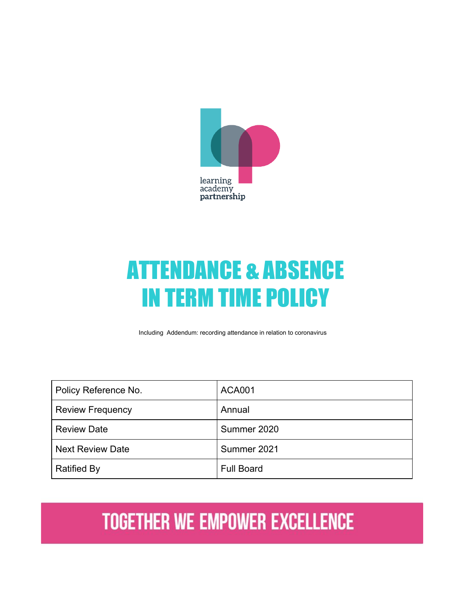

# ATTENDANCE & ABSENCE IN TERM TIME POLICY

Including Addendum: recording attendance in relation to coronavirus

| Policy Reference No.    | <b>ACA001</b>     |
|-------------------------|-------------------|
| <b>Review Frequency</b> | Annual            |
| <b>Review Date</b>      | Summer 2020       |
| <b>Next Review Date</b> | Summer 2021       |
| <b>Ratified By</b>      | <b>Full Board</b> |

# **TOGETHER WE EMPOWER EXCELLENCE**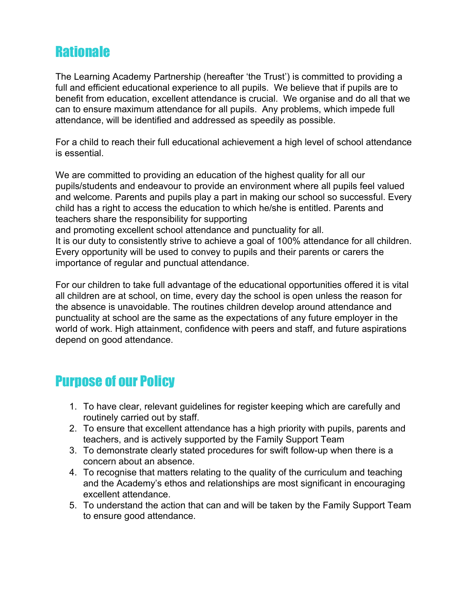# **Rationale**

The Learning Academy Partnership (hereafter 'the Trust') is committed to providing a full and efficient educational experience to all pupils. We believe that if pupils are to benefit from education, excellent attendance is crucial. We organise and do all that we can to ensure maximum attendance for all pupils. Any problems, which impede full attendance, will be identified and addressed as speedily as possible.

For a child to reach their full educational achievement a high level of school attendance is essential.

We are committed to providing an education of the highest quality for all our pupils/students and endeavour to provide an environment where all pupils feel valued and welcome. Parents and pupils play a part in making our school so successful. Every child has a right to access the education to which he/she is entitled. Parents and teachers share the responsibility for supporting and promoting excellent school attendance and punctuality for all. It is our duty to consistently strive to achieve a goal of 100% attendance for all children.

Every opportunity will be used to convey to pupils and their parents or carers the importance of regular and punctual attendance.

For our children to take full advantage of the educational opportunities offered it is vital all children are at school, on time, every day the school is open unless the reason for the absence is unavoidable. The routines children develop around attendance and punctuality at school are the same as the expectations of any future employer in the world of work. High attainment, confidence with peers and staff, and future aspirations depend on good attendance.

# Purpose of our Policy

- 1. To have clear, relevant guidelines for register keeping which are carefully and routinely carried out by staff.
- 2. To ensure that excellent attendance has a high priority with pupils, parents and teachers, and is actively supported by the Family Support Team
- 3. To demonstrate clearly stated procedures for swift follow-up when there is a concern about an absence.
- 4. To recognise that matters relating to the quality of the curriculum and teaching and the Academy's ethos and relationships are most significant in encouraging excellent attendance.
- 5. To understand the action that can and will be taken by the Family Support Team to ensure good attendance.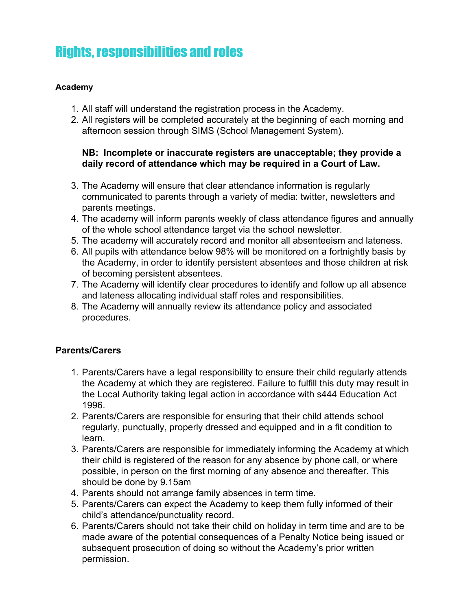# Rights, responsibilities and roles

#### **Academy**

- 1. All staff will understand the registration process in the Academy.
- 2. All registers will be completed accurately at the beginning of each morning and afternoon session through SIMS (School Management System).

#### **NB: Incomplete or inaccurate registers are unacceptable; they provide a daily record of attendance which may be required in a Court of Law.**

- 3. The Academy will ensure that clear attendance information is regularly communicated to parents through a variety of media: twitter, newsletters and parents meetings.
- 4. The academy will inform parents weekly of class attendance figures and annually of the whole school attendance target via the school newsletter.
- 5. The academy will accurately record and monitor all absenteeism and lateness.
- 6. All pupils with attendance below 98% will be monitored on a fortnightly basis by the Academy, in order to identify persistent absentees and those children at risk of becoming persistent absentees.
- 7. The Academy will identify clear procedures to identify and follow up all absence and lateness allocating individual staff roles and responsibilities.
- 8. The Academy will annually review its attendance policy and associated procedures.

#### **Parents/Carers**

- 1. Parents/Carers have a legal responsibility to ensure their child regularly attends the Academy at which they are registered. Failure to fulfill this duty may result in the Local Authority taking legal action in accordance with s444 Education Act 1996.
- 2. Parents/Carers are responsible for ensuring that their child attends school regularly, punctually, properly dressed and equipped and in a fit condition to learn.
- 3. Parents/Carers are responsible for immediately informing the Academy at which their child is registered of the reason for any absence by phone call, or where possible, in person on the first morning of any absence and thereafter. This should be done by 9.15am
- 4. Parents should not arrange family absences in term time.
- 5. Parents/Carers can expect the Academy to keep them fully informed of their child's attendance/punctuality record.
- 6. Parents/Carers should not take their child on holiday in term time and are to be made aware of the potential consequences of a Penalty Notice being issued or subsequent prosecution of doing so without the Academy's prior written permission.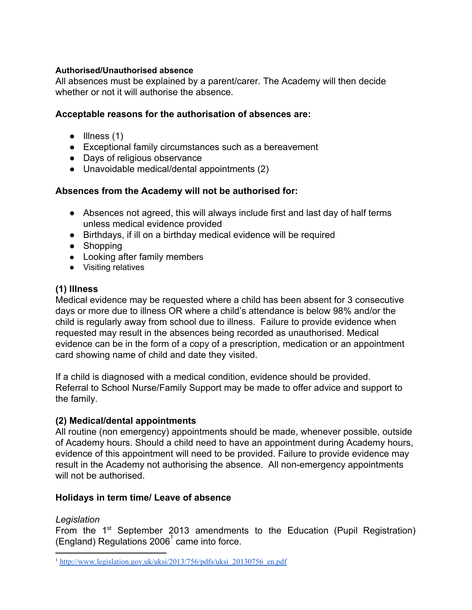#### **Authorised/Unauthorised absence**

All absences must be explained by a parent/carer. The Academy will then decide whether or not it will authorise the absence.

#### **Acceptable reasons for the authorisation of absences are:**

- $\bullet$  Illness (1)
- Exceptional family circumstances such as a bereavement
- Days of religious observance
- Unavoidable medical/dental appointments (2)

#### **Absences from the Academy will not be authorised for:**

- Absences not agreed, this will always include first and last day of half terms unless medical evidence provided
- Birthdays, if ill on a birthday medical evidence will be required
- Shopping
- Looking after family members
- Visiting relatives

#### **(1) Illness**

Medical evidence may be requested where a child has been absent for 3 consecutive days or more due to illness OR where a child's attendance is below 98% and/or the child is regularly away from school due to illness. Failure to provide evidence when requested may result in the absences being recorded as unauthorised. Medical evidence can be in the form of a copy of a prescription, medication or an appointment card showing name of child and date they visited.

If a child is diagnosed with a medical condition, evidence should be provided. Referral to School Nurse/Family Support may be made to offer advice and support to the family.

#### **(2) Medical/dental appointments**

All routine (non emergency) appointments should be made, whenever possible, outside of Academy hours. Should a child need to have an appointment during Academy hours, evidence of this appointment will need to be provided. Failure to provide evidence may result in the Academy not authorising the absence. All non-emergency appointments will not be authorised.

#### **Holidays in term time/ Leave of absence**

#### *Legislation*

From the  $1<sup>st</sup>$  September 2013 amendments to the Education (Pupil [Registration\)](http://www.legislation.gov.uk/uksi/2006/1751/contents/made) (England) Regulations  $2006<sup>1</sup>$  came into force.

<sup>&</sup>lt;sup>1</sup> [http://www.legislation.gov.uk/uksi/2013/756/pdfs/uksi\\_20130756\\_en.pdf](http://www.legislation.gov.uk/uksi/2013/756/pdfs/uksi_20130756_en.pdf)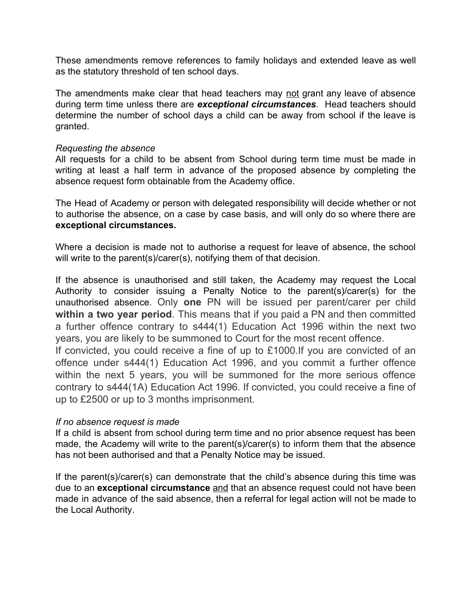These amendments remove references to family holidays and extended leave as well as the statutory threshold of ten school days.

The amendments make clear that head teachers may not grant any leave of absence during term time unless there are *exceptional circumstances.* Head teachers should determine the number of school days a child can be away from school if the leave is granted.

#### *Requesting the absence*

All requests for a child to be absent from School during term time must be made in writing at least a half term in advance of the proposed absence by completing the absence request form obtainable from the Academy office.

The Head of Academy or person with delegated responsibility will decide whether or not to authorise the absence, on a case by case basis, and will only do so where there are **exceptional circumstances.**

Where a decision is made not to authorise a request for leave of absence, the school will write to the parent(s)/carer(s), notifying them of that decision.

If the absence is unauthorised and still taken, the Academy may request the Local Authority to consider issuing a Penalty Notice to the parent(s)/carer(s) for the unauthorised absence. Only **one** PN will be issued per parent/carer per child **within a two year period**. This means that if you paid a PN and then committed a further offence contrary to s444(1) Education Act 1996 within the next two years, you are likely to be summoned to Court for the most recent offence.

If convicted, you could receive a fine of up to £1000.If you are convicted of an offence under s444(1) Education Act 1996, and you commit a further offence within the next 5 years, you will be summoned for the more serious offence contrary to s444(1A) Education Act 1996. If convicted, you could receive a fine of up to £2500 or up to 3 months imprisonment.

#### *If no absence request is made*

If a child is absent from school during term time and no prior absence request has been made, the Academy will write to the parent(s)/carer(s) to inform them that the absence has not been authorised and that a Penalty Notice may be issued.

If the parent(s)/carer(s) can demonstrate that the child's absence during this time was due to an **exceptional circumstance** and that an absence request could not have been made in advance of the said absence, then a referral for legal action will not be made to the Local Authority.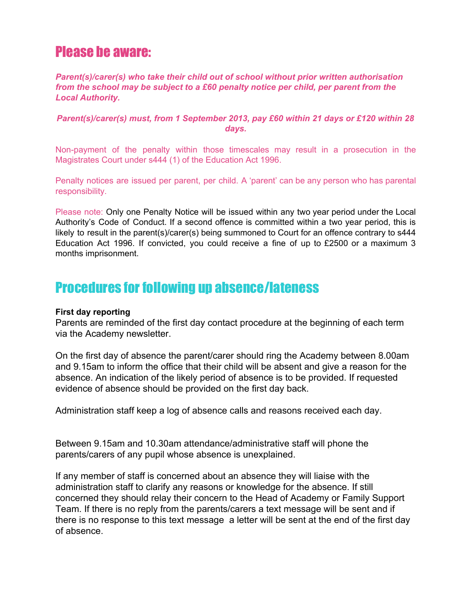# Please be aware:

*Parent(s)/carer(s) who take their child out of school without prior written authorisation from the school may be subject to a £60 penalty notice per child, per parent from the Local Authority.*

#### *Parent(s)/carer(s) must, from 1 September 2013, pay £60 within 21 days or £120 within 28 days.*

Non-payment of the penalty within those timescales may result in a prosecution in the Magistrates Court under s444 (1) of the Education Act 1996.

Penalty notices are issued per parent, per child. A 'parent' can be any person who has parental responsibility.

Please note: Only one Penalty Notice will be issued within any two year period under the Local Authority's Code of Conduct. If a second offence is committed within a two year period, this is likely to result in the parent(s)/carer(s) being summoned to Court for an offence contrary to s444 Education Act 1996. If convicted, you could receive a fine of up to £2500 or a maximum 3 months imprisonment.

# Procedures for following up absence/lateness

#### **First day reporting**

Parents are reminded of the first day contact procedure at the beginning of each term via the Academy newsletter.

On the first day of absence the parent/carer should ring the Academy between 8.00am and 9.15am to inform the office that their child will be absent and give a reason for the absence. An indication of the likely period of absence is to be provided. If requested evidence of absence should be provided on the first day back.

Administration staff keep a log of absence calls and reasons received each day.

Between 9.15am and 10.30am attendance/administrative staff will phone the parents/carers of any pupil whose absence is unexplained.

If any member of staff is concerned about an absence they will liaise with the administration staff to clarify any reasons or knowledge for the absence. If still concerned they should relay their concern to the Head of Academy or Family Support Team. If there is no reply from the parents/carers a text message will be sent and if there is no response to this text message a letter will be sent at the end of the first day of absence.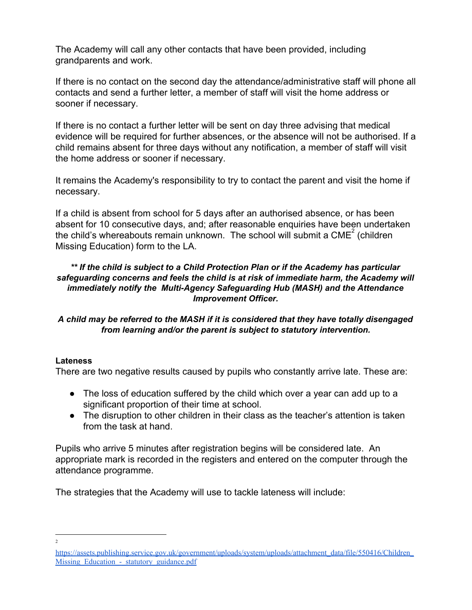The Academy will call any other contacts that have been provided, including grandparents and work.

If there is no contact on the second day the attendance/administrative staff will phone all contacts and send a further letter, a member of staff will visit the home address or sooner if necessary.

If there is no contact a further letter will be sent on day three advising that medical evidence will be required for further absences, or the absence will not be authorised. If a child remains absent for three days without any notification, a member of staff will visit the home address or sooner if necessary.

It remains the Academy's responsibility to try to contact the parent and visit the home if necessary.

If a child is absent from school for 5 days after an authorised absence, or has been absent for 10 consecutive days, and; after reasonable enquiries have been undertaken the child's whereabouts remain unknown. The school will submit a  $CME<sup>2</sup>$  (children Missing Education) form to the LA.

#### *\*\* If the child is subject to a Child Protection Plan or if the Academy has particular safeguarding concerns and feels the child is at risk of immediate harm, the Academy will immediately notify the Multi-Agency Safeguarding Hub (MASH) and the Attendance Improvement Officer.*

#### *A child may be referred to the MASH if it is considered that they have totally disengaged from learning and/or the parent is subject to statutory intervention.*

#### **Lateness**

There are two negative results caused by pupils who constantly arrive late. These are:

- The loss of education suffered by the child which over a year can add up to a significant proportion of their time at school.
- The disruption to other children in their class as the teacher's attention is taken from the task at hand.

Pupils who arrive 5 minutes after registration begins will be considered late. An appropriate mark is recorded in the registers and entered on the computer through the attendance programme.

The strategies that the Academy will use to tackle lateness will include:

2

[https://assets.publishing.service.gov.uk/government/uploads/system/uploads/attachment\\_data/file/550416/Children\\_](https://assets.publishing.service.gov.uk/government/uploads/system/uploads/attachment_data/file/550416/Children_Missing_Education_-_statutory_guidance.pdf) Missing Education - statutory guidance.pdf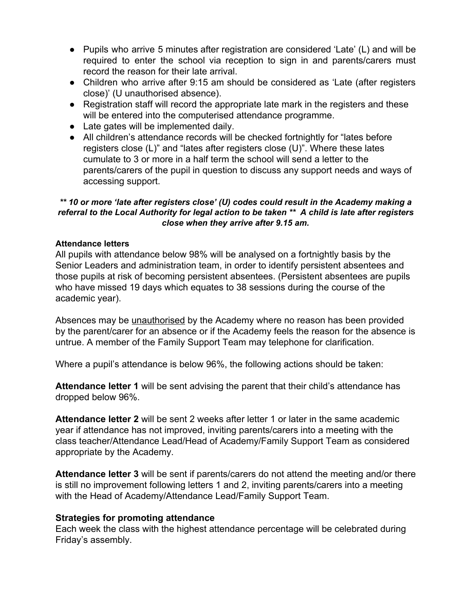- Pupils who arrive 5 minutes after registration are considered 'Late' (L) and will be required to enter the school via reception to sign in and parents/carers must record the reason for their late arrival.
- Children who arrive after 9:15 am should be considered as 'Late (after registers close)' (U unauthorised absence).
- Registration staff will record the appropriate late mark in the registers and these will be entered into the computerised attendance programme.
- Late gates will be implemented daily.
- All children's attendance records will be checked fortnightly for "lates before registers close (L)" and "lates after registers close (U)". Where these lates cumulate to 3 or more in a half term the school will send a letter to the parents/carers of the pupil in question to discuss any support needs and ways of accessing support.

#### *\*\* 10 or more 'late after registers close' (U) codes could result in the Academy making a referral to the Local Authority for legal action to be taken \*\* A child is late after registers close when they arrive after 9.15 am.*

#### **Attendance letters**

All pupils with attendance below 98% will be analysed on a fortnightly basis by the Senior Leaders and administration team, in order to identify persistent absentees and those pupils at risk of becoming persistent absentees. (Persistent absentees are pupils who have missed 19 days which equates to 38 sessions during the course of the academic year).

Absences may be unauthorised by the Academy where no reason has been provided by the parent/carer for an absence or if the Academy feels the reason for the absence is untrue. A member of the Family Support Team may telephone for clarification.

Where a pupil's attendance is below 96%, the following actions should be taken:

**Attendance letter 1** will be sent advising the parent that their child's attendance has dropped below 96%.

**Attendance letter 2** will be sent 2 weeks after letter 1 or later in the same academic year if attendance has not improved, inviting parents/carers into a meeting with the class teacher/Attendance Lead/Head of Academy/Family Support Team as considered appropriate by the Academy.

**Attendance letter 3** will be sent if parents/carers do not attend the meeting and/or there is still no improvement following letters 1 and 2, inviting parents/carers into a meeting with the Head of Academy/Attendance Lead/Family Support Team.

#### **Strategies for promoting attendance**

Each week the class with the highest attendance percentage will be celebrated during Friday's assembly.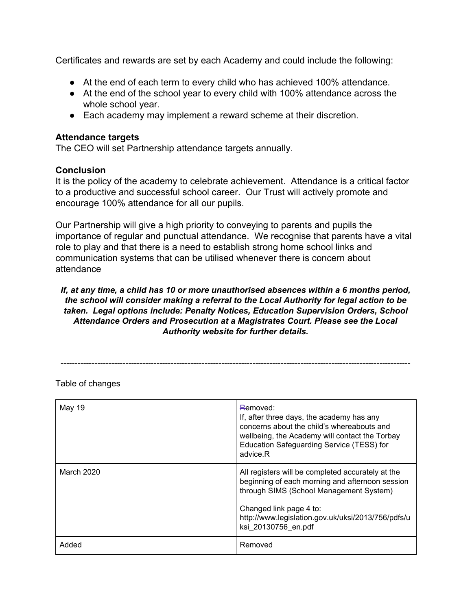Certificates and rewards are set by each Academy and could include the following:

- At the end of each term to every child who has achieved 100% attendance.
- At the end of the school year to every child with 100% attendance across the whole school year.
- Each academy may implement a reward scheme at their discretion.

#### **Attendance targets**

The CEO will set Partnership attendance targets annually.

#### **Conclusion**

It is the policy of the academy to celebrate achievement. Attendance is a critical factor to a productive and successful school career. Our Trust will actively promote and encourage 100% attendance for all our pupils.

Our Partnership will give a high priority to conveying to parents and pupils the importance of regular and punctual attendance. We recognise that parents have a vital role to play and that there is a need to establish strong home school links and communication systems that can be utilised whenever there is concern about attendance

#### *If, at any time, a child has 10 or more unauthorised absences within a 6 months period, the school will consider making a referral to the Local Authority for legal action to be taken. Legal options include: Penalty Notices, Education Supervision Orders, School Attendance Orders and Prosecution at a Magistrates Court. Please see the Local Authority website for further details.*

----------------------------------------------------------------------------------------------------------------------------

Table of changes

| May 19     | Removed:<br>If, after three days, the academy has any<br>concerns about the child's whereabouts and<br>wellbeing, the Academy will contact the Torbay<br>Education Safeguarding Service (TESS) for<br>advice R |
|------------|----------------------------------------------------------------------------------------------------------------------------------------------------------------------------------------------------------------|
| March 2020 | All registers will be completed accurately at the<br>beginning of each morning and afternoon session<br>through SIMS (School Management System)                                                                |
|            | Changed link page 4 to:<br>http://www.legislation.gov.uk/uksi/2013/756/pdfs/u<br>ksi 20130756 en.pdf                                                                                                           |
| Added      | Removed                                                                                                                                                                                                        |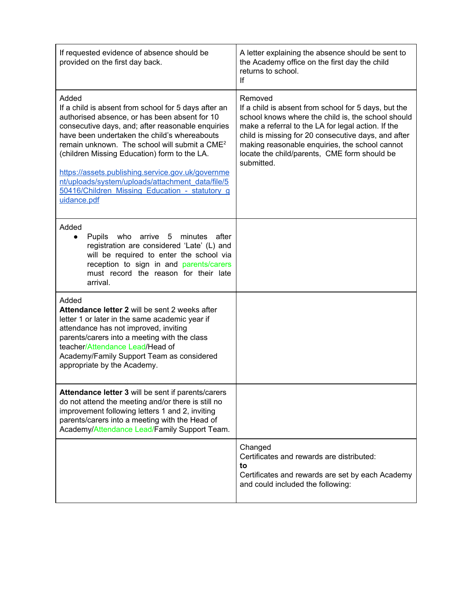| If requested evidence of absence should be<br>provided on the first day back.                                                                                                                                                                                                                                                                                                                                                                                                                              | A letter explaining the absence should be sent to<br>the Academy office on the first day the child<br>returns to school.<br>lf                                                                                                                                                                                                                     |
|------------------------------------------------------------------------------------------------------------------------------------------------------------------------------------------------------------------------------------------------------------------------------------------------------------------------------------------------------------------------------------------------------------------------------------------------------------------------------------------------------------|----------------------------------------------------------------------------------------------------------------------------------------------------------------------------------------------------------------------------------------------------------------------------------------------------------------------------------------------------|
| Added<br>If a child is absent from school for 5 days after an<br>authorised absence, or has been absent for 10<br>consecutive days, and; after reasonable enquiries<br>have been undertaken the child's whereabouts<br>remain unknown. The school will submit a CME <sup>2</sup><br>(children Missing Education) form to the LA.<br>https://assets.publishing.service.gov.uk/governme<br>nt/uploads/system/uploads/attachment_data/file/5<br>50416/Children Missing Education - statutory g<br>uidance.pdf | Removed<br>If a child is absent from school for 5 days, but the<br>school knows where the child is, the school should<br>make a referral to the LA for legal action. If the<br>child is missing for 20 consecutive days, and after<br>making reasonable enquiries, the school cannot<br>locate the child/parents, CME form should be<br>submitted. |
| Added<br>Pupils who<br>arrive 5<br>minutes<br>after<br>$\bullet$<br>registration are considered 'Late' (L) and<br>will be required to enter the school via<br>reception to sign in and parents/carers<br>must record the reason for their late<br>arrival.                                                                                                                                                                                                                                                 |                                                                                                                                                                                                                                                                                                                                                    |
| Added<br><b>Attendance letter 2 will be sent 2 weeks after</b><br>letter 1 or later in the same academic year if<br>attendance has not improved, inviting<br>parents/carers into a meeting with the class<br>teacher/Attendance Lead/Head of<br>Academy/Family Support Team as considered<br>appropriate by the Academy.                                                                                                                                                                                   |                                                                                                                                                                                                                                                                                                                                                    |
| Attendance letter 3 will be sent if parents/carers<br>do not attend the meeting and/or there is still no<br>improvement following letters 1 and 2, inviting<br>parents/carers into a meeting with the Head of<br>Academy/Attendance Lead/Family Support Team.                                                                                                                                                                                                                                              |                                                                                                                                                                                                                                                                                                                                                    |
|                                                                                                                                                                                                                                                                                                                                                                                                                                                                                                            | Changed<br>Certificates and rewards are distributed:<br>to<br>Certificates and rewards are set by each Academy<br>and could included the following:                                                                                                                                                                                                |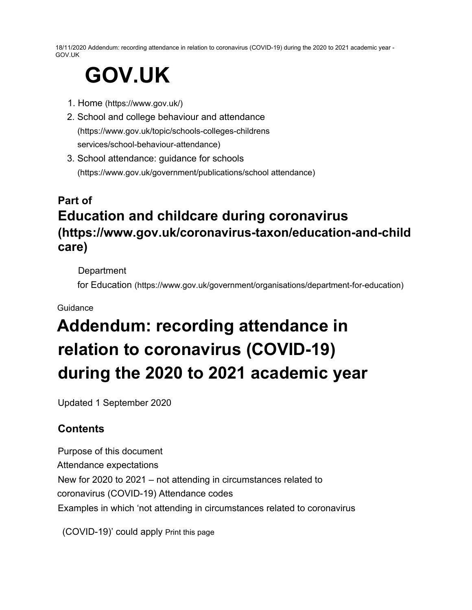18/11/2020 Addendum: recording attendance in relation to coronavirus (COVID-19) during the 2020 to 2021 academic year - GOV.UK

# **GOV.UK**

- 1. Home (https://www.gov.uk/)
- 2. School and college behaviour and attendance (https://www.gov.uk/topic/schools-colleges-childrens services/school-behaviour-attendance)
- 3. School attendance: guidance for schools (https://www.gov.uk/government/publications/school attendance)

# **Part of Education and childcare during coronavirus (https://www.gov.uk/coronavirus-taxon/education-and-child care)**

**Department** 

for Education (https://www.gov.uk/government/organisations/department-for-education)

#### Guidance

# **Addendum: recording attendance in relation to coronavirus (COVID-19) during the 2020 to 2021 academic year**

Updated 1 September 2020

# **Contents**

Purpose of this document Attendance expectations New for 2020 to 2021 – not attending in circumstances related to coronavirus (COVID-19) Attendance codes Examples in which 'not attending in circumstances related to coronavirus

(COVID-19)' could apply Print this page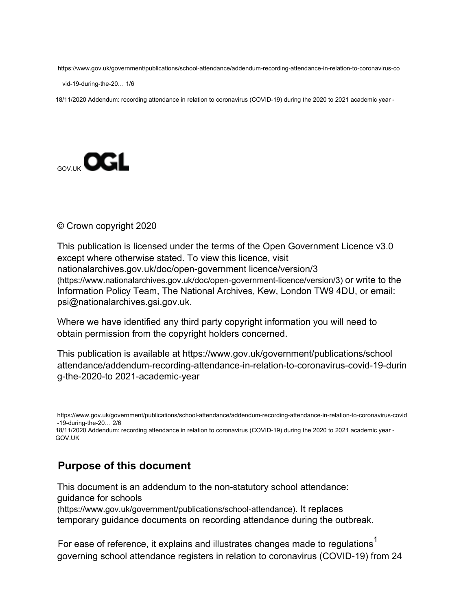https://www.gov.uk/government/publications/school-attendance/addendum-recording-attendance-in-relation-to-coronavirus-co

vid-19-during-the-20… 1/6

18/11/2020 Addendum: recording attendance in relation to coronavirus (COVID-19) during the 2020 to 2021 academic year -



#### © Crown copyright 2020

This publication is licensed under the terms of the Open Government Licence v3.0 except where otherwise stated. To view this licence, visit nationalarchives.gov.uk/doc/open-government licence/version/3 (https://www.nationalarchives.gov.uk/doc/open-government-licence/version/3) or write to the Information Policy Team, The National Archives, Kew, London TW9 4DU, or email: psi@nationalarchives.gsi.gov.uk.

Where we have identified any third party copyright information you will need to obtain permission from the copyright holders concerned.

This publication is available at https://www.gov.uk/government/publications/school attendance/addendum-recording-attendance-in-relation-to-coronavirus-covid-19-durin g-the-2020-to 2021-academic-year

https://www.gov.uk/government/publications/school-attendance/addendum-recording-attendance-in-relation-to-coronavirus-covid -19-during-the-20… 2/6

18/11/2020 Addendum: recording attendance in relation to coronavirus (COVID-19) during the 2020 to 2021 academic year - GOV.UK

### **Purpose of this document**

This document is an addendum to the non-statutory school attendance: guidance for schools

(https://www.gov.uk/government/publications/school-attendance). It replaces temporary guidance documents on recording attendance during the outbreak.

For ease of reference, it explains and illustrates changes made to regulations<sup>1</sup> governing school attendance registers in relation to coronavirus (COVID-19) from 24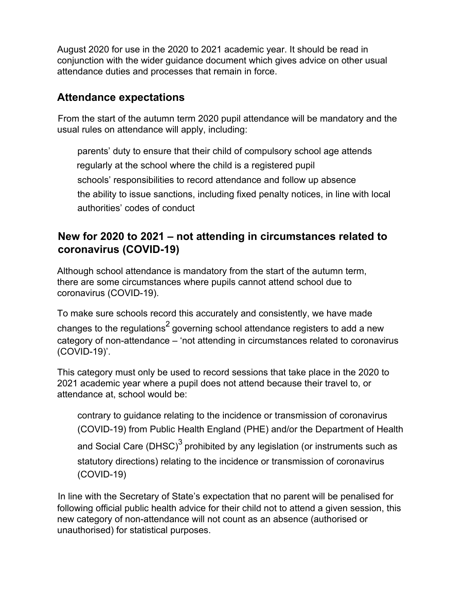August 2020 for use in the 2020 to 2021 academic year. It should be read in conjunction with the wider guidance document which gives advice on other usual attendance duties and processes that remain in force.

# **Attendance expectations**

From the start of the autumn term 2020 pupil attendance will be mandatory and the usual rules on attendance will apply, including:

parents' duty to ensure that their child of compulsory school age attends regularly at the school where the child is a registered pupil schools' responsibilities to record attendance and follow up absence the ability to issue sanctions, including fixed penalty notices, in line with local authorities' codes of conduct

# **New for 2020 to 2021 – not attending in circumstances related to coronavirus (COVID-19)**

Although school attendance is mandatory from the start of the autumn term, there are some circumstances where pupils cannot attend school due to coronavirus (COVID-19).

To make sure schools record this accurately and consistently, we have made changes to the regulations<sup>2</sup> governing school attendance registers to add a new category of non-attendance – 'not attending in circumstances related to coronavirus (COVID-19)'.

This category must only be used to record sessions that take place in the 2020 to 2021 academic year where a pupil does not attend because their travel to, or attendance at, school would be:

contrary to guidance relating to the incidence or transmission of coronavirus (COVID-19) from Public Health England (PHE) and/or the Department of Health and Social Care (DHSC)<sup>3</sup> prohibited by any legislation (or instruments such as statutory directions) relating to the incidence or transmission of coronavirus (COVID-19)

In line with the Secretary of State's expectation that no parent will be penalised for following official public health advice for their child not to attend a given session, this new category of non-attendance will not count as an absence (authorised or unauthorised) for statistical purposes.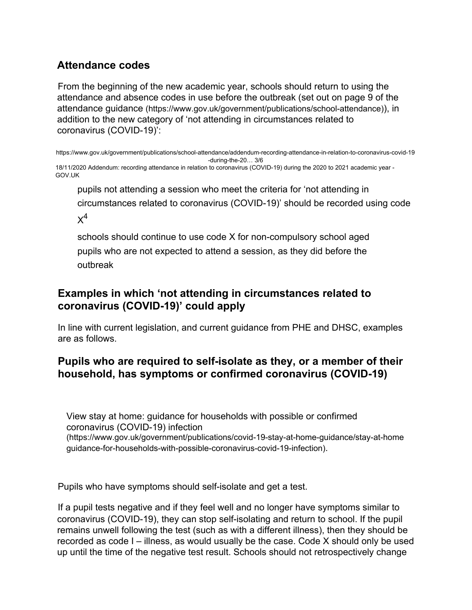# **Attendance codes**

From the beginning of the new academic year, schools should return to using the attendance and absence codes in use before the outbreak (set out on page 9 of the attendance guidance (https://www.gov.uk/government/publications/school-attendance)), in addition to the new category of 'not attending in circumstances related to coronavirus (COVID-19)':

https://www.gov.uk/government/publications/school-attendance/addendum-recording-attendance-in-relation-to-coronavirus-covid-19 -during-the-20… 3/6

18/11/2020 Addendum: recording attendance in relation to coronavirus (COVID-19) during the 2020 to 2021 academic year - GOV.UK

pupils not attending a session who meet the criteria for 'not attending in circumstances related to coronavirus (COVID-19)' should be recorded using code  $\times^4$ 

schools should continue to use code X for non-compulsory school aged pupils who are not expected to attend a session, as they did before the outbreak

## **Examples in which 'not attending in circumstances related to coronavirus (COVID-19)' could apply**

In line with current legislation, and current guidance from PHE and DHSC, examples are as follows.

# **Pupils who are required to self-isolate as they, or a member of their household, has symptoms or confirmed coronavirus (COVID-19)**

View stay at home: guidance for households with possible or confirmed coronavirus (COVID-19) infection (https://www.gov.uk/government/publications/covid-19-stay-at-home-guidance/stay-at-home guidance-for-households-with-possible-coronavirus-covid-19-infection).

Pupils who have symptoms should self-isolate and get a test.

If a pupil tests negative and if they feel well and no longer have symptoms similar to coronavirus (COVID-19), they can stop self-isolating and return to school. If the pupil remains unwell following the test (such as with a different illness), then they should be recorded as code I – illness, as would usually be the case. Code X should only be used up until the time of the negative test result. Schools should not retrospectively change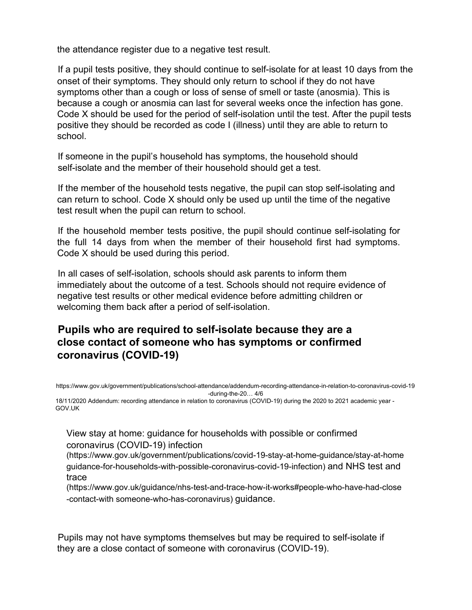the attendance register due to a negative test result.

If a pupil tests positive, they should continue to self-isolate for at least 10 days from the onset of their symptoms. They should only return to school if they do not have symptoms other than a cough or loss of sense of smell or taste (anosmia). This is because a cough or anosmia can last for several weeks once the infection has gone. Code X should be used for the period of self-isolation until the test. After the pupil tests positive they should be recorded as code I (illness) until they are able to return to school.

If someone in the pupil's household has symptoms, the household should self-isolate and the member of their household should get a test.

If the member of the household tests negative, the pupil can stop self-isolating and can return to school. Code X should only be used up until the time of the negative test result when the pupil can return to school.

If the household member tests positive, the pupil should continue self-isolating for the full 14 days from when the member of their household first had symptoms. Code X should be used during this period.

In all cases of self-isolation, schools should ask parents to inform them immediately about the outcome of a test. Schools should not require evidence of negative test results or other medical evidence before admitting children or welcoming them back after a period of self-isolation.

## **Pupils who are required to self-isolate because they are a close contact of someone who has symptoms or confirmed coronavirus (COVID-19)**

https://www.gov.uk/government/publications/school-attendance/addendum-recording-attendance-in-relation-to-coronavirus-covid-19 -during-the-20… 4/6

18/11/2020 Addendum: recording attendance in relation to coronavirus (COVID-19) during the 2020 to 2021 academic year - GOV.UK

View stay at home: guidance for households with possible or confirmed coronavirus (COVID-19) infection

(https://www.gov.uk/government/publications/covid-19-stay-at-home-guidance/stay-at-home guidance-for-households-with-possible-coronavirus-covid-19-infection) and NHS test and trace

(https://www.gov.uk/guidance/nhs-test-and-trace-how-it-works#people-who-have-had-close -contact-with someone-who-has-coronavirus) guidance.

Pupils may not have symptoms themselves but may be required to self-isolate if they are a close contact of someone with coronavirus (COVID-19).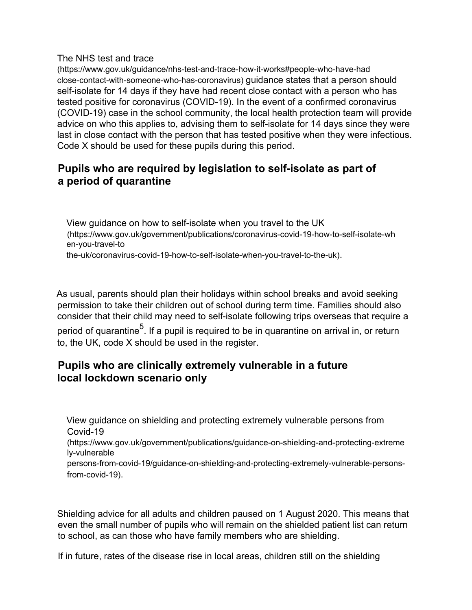#### The NHS test and trace

(https://www.gov.uk/guidance/nhs-test-and-trace-how-it-works#people-who-have-had close-contact-with-someone-who-has-coronavirus) guidance states that a person should self-isolate for 14 days if they have had recent close contact with a person who has tested positive for coronavirus (COVID-19). In the event of a confirmed coronavirus (COVID-19) case in the school community, the local health protection team will provide advice on who this applies to, advising them to self-isolate for 14 days since they were last in close contact with the person that has tested positive when they were infectious. Code X should be used for these pupils during this period.

## **Pupils who are required by legislation to self-isolate as part of a period of quarantine**

View guidance on how to self-isolate when you travel to the UK (https://www.gov.uk/government/publications/coronavirus-covid-19-how-to-self-isolate-wh en-you-travel-to

the-uk/coronavirus-covid-19-how-to-self-isolate-when-you-travel-to-the-uk).

As usual, parents should plan their holidays within school breaks and avoid seeking permission to take their children out of school during term time. Families should also consider that their child may need to self-isolate following trips overseas that require a period of quarantine<sup>5</sup>. If a pupil is required to be in quarantine on arrival in, or return to, the UK, code X should be used in the register.

## **Pupils who are clinically extremely vulnerable in a future local lockdown scenario only**

View guidance on shielding and protecting extremely vulnerable persons from Covid-19

(https://www.gov.uk/government/publications/guidance-on-shielding-and-protecting-extreme ly-vulnerable

persons-from-covid-19/guidance-on-shielding-and-protecting-extremely-vulnerable-personsfrom-covid-19).

Shielding advice for all adults and children paused on 1 August 2020. This means that even the small number of pupils who will remain on the shielded patient list can return to school, as can those who have family members who are shielding.

If in future, rates of the disease rise in local areas, children still on the shielding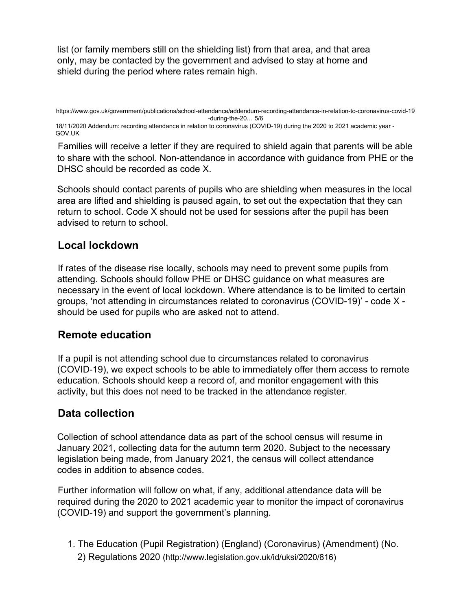list (or family members still on the shielding list) from that area, and that area only, may be contacted by the government and advised to stay at home and shield during the period where rates remain high.

18/11/2020 Addendum: recording attendance in relation to coronavirus (COVID-19) during the 2020 to 2021 academic year - GOV.UK

Families will receive a letter if they are required to shield again that parents will be able to share with the school. Non-attendance in accordance with guidance from PHE or the DHSC should be recorded as code X.

Schools should contact parents of pupils who are shielding when measures in the local area are lifted and shielding is paused again, to set out the expectation that they can return to school. Code X should not be used for sessions after the pupil has been advised to return to school.

# **Local lockdown**

If rates of the disease rise locally, schools may need to prevent some pupils from attending. Schools should follow PHE or DHSC guidance on what measures are necessary in the event of local lockdown. Where attendance is to be limited to certain groups, 'not attending in circumstances related to coronavirus (COVID-19)' - code X should be used for pupils who are asked not to attend.

## **Remote education**

If a pupil is not attending school due to circumstances related to coronavirus (COVID-19), we expect schools to be able to immediately offer them access to remote education. Schools should keep a record of, and monitor engagement with this activity, but this does not need to be tracked in the attendance register.

## **Data collection**

Collection of school attendance data as part of the school census will resume in January 2021, collecting data for the autumn term 2020. Subject to the necessary legislation being made, from January 2021, the census will collect attendance codes in addition to absence codes.

Further information will follow on what, if any, additional attendance data will be required during the 2020 to 2021 academic year to monitor the impact of coronavirus (COVID-19) and support the government's planning.

1. The Education (Pupil Registration) (England) (Coronavirus) (Amendment) (No. 2) Regulations 2020 (http://www.legislation.gov.uk/id/uksi/2020/816)

https://www.gov.uk/government/publications/school-attendance/addendum-recording-attendance-in-relation-to-coronavirus-covid-19 -during-the-20… 5/6